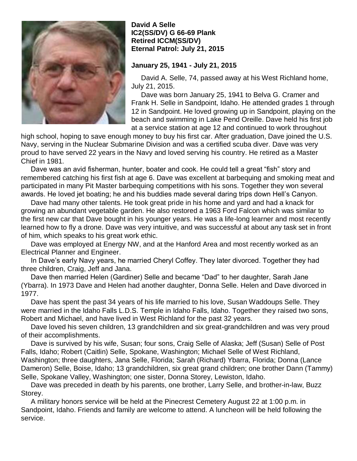

## **David A Selle IC2(SS/DV) G 66-69 Plank Retired ICCM(SS/DV) Eternal Patrol: July 21, 2015**

## **January 25, 1941 - July 21, 2015**

 David A. Selle, 74, passed away at his West Richland home, July 21, 2015.

 Dave was born January 25, 1941 to Belva G. Cramer and Frank H. Selle in Sandpoint, Idaho. He attended grades 1 through 12 in Sandpoint. He loved growing up in Sandpoint, playing on the beach and swimming in Lake Pend Oreille. Dave held his first job at a service station at age 12 and continued to work throughout

high school, hoping to save enough money to buy his first car. After graduation, Dave joined the U.S. Navy, serving in the Nuclear Submarine Division and was a certified scuba diver. Dave was very proud to have served 22 years in the Navy and loved serving his country. He retired as a Master Chief in 1981.

 Dave was an avid fisherman, hunter, boater and cook. He could tell a great "fish" story and remembered catching his first fish at age 6. Dave was excellent at barbequing and smoking meat and participated in many Pit Master barbequing competitions with his sons. Together they won several awards. He loved jet boating; he and his buddies made several daring trips down Hell's Canyon.

 Dave had many other talents. He took great pride in his home and yard and had a knack for growing an abundant vegetable garden. He also restored a 1963 Ford Falcon which was similar to the first new car that Dave bought in his younger years. He was a life-long learner and most recently learned how to fly a drone. Dave was very intuitive, and was successful at about any task set in front of him, which speaks to his great work ethic.

 Dave was employed at Energy NW, and at the Hanford Area and most recently worked as an Electrical Planner and Engineer.

 In Dave's early Navy years, he married Cheryl Coffey. They later divorced. Together they had three children, Craig, Jeff and Jana.

 Dave then married Helen (Gardiner) Selle and became "Dad" to her daughter, Sarah Jane (Ybarra). In 1973 Dave and Helen had another daughter, Donna Selle. Helen and Dave divorced in 1977.

 Dave has spent the past 34 years of his life married to his love, Susan Waddoups Selle. They were married in the Idaho Falls L.D.S. Temple in Idaho Falls, Idaho. Together they raised two sons, Robert and Michael, and have lived in West Richland for the past 32 years.

 Dave loved his seven children, 13 grandchildren and six great-grandchildren and was very proud of their accomplishments.

 Dave is survived by his wife, Susan; four sons, Craig Selle of Alaska; Jeff (Susan) Selle of Post Falls, Idaho; Robert (Caitlin) Selle, Spokane, Washington; Michael Selle of West Richland, Washington; three daughters, Jana Selle, Florida; Sarah (Richard) Ybarra, Florida; Donna (Lance Dameron) Selle, Boise, Idaho; 13 grandchildren, six great grand children; one brother Dann (Tammy) Selle, Spokane Valley, Washington; one sister, Donna Storey, Lewiston, Idaho.

 Dave was preceded in death by his parents, one brother, Larry Selle, and brother-in-law, Buzz Storey.

 A military honors service will be held at the Pinecrest Cemetery August 22 at 1:00 p.m. in Sandpoint, Idaho. Friends and family are welcome to attend. A luncheon will be held following the service.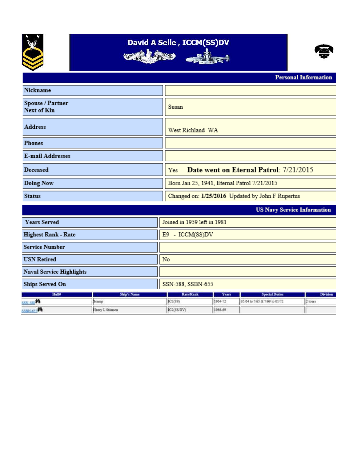

## David A Selle, ICCM(SS)DV







 $_{\rm{rand}}$  Informa

|                                        |                    |                                                  |              |                                    | 1 сгэонаг шиогшанон |
|----------------------------------------|--------------------|--------------------------------------------------|--------------|------------------------------------|---------------------|
| Nickname                               |                    |                                                  |              |                                    |                     |
| Spouse / Partner<br><b>Next of Kin</b> |                    | Susan                                            |              |                                    |                     |
| <b>Address</b>                         |                    | West Richland WA                                 |              |                                    |                     |
| <b>Phones</b>                          |                    |                                                  |              |                                    |                     |
| <b>E-mail Addresses</b>                |                    |                                                  |              |                                    |                     |
| Deceased                               |                    | Date went on Eternal Patrol: 7/21/2015<br>Yes    |              |                                    |                     |
| Doing Now                              |                    | Born Jan 25, 1941, Eternal Patrol 7/21/2015      |              |                                    |                     |
| <b>Status</b>                          |                    | Changed on: 1/25/2016 Updated by John F Rupertus |              |                                    |                     |
|                                        |                    |                                                  |              | <b>US Navy Service Information</b> |                     |
| <b>Years Served</b>                    |                    | Joined in 1959 left in 1981                      |              |                                    |                     |
| <b>Highest Rank - Rate</b>             |                    | E9 - ICCM(SS)DV                                  |              |                                    |                     |
| <b>Service Number</b>                  |                    |                                                  |              |                                    |                     |
| <b>USN Retired</b>                     |                    | No                                               |              |                                    |                     |
| <b>Naval Service Highlights</b>        |                    |                                                  |              |                                    |                     |
| <b>Ships Served On</b>                 |                    | SSN-588, SSBN-655                                |              |                                    |                     |
| Hulld                                  | <b>Ship's Name</b> | <b>Rate/Rank</b>                                 | <b>Years</b> | <b>Special Duties</b>              | <b>Division</b>     |
| 判<br><b>SN.588</b>                     | Scamp              | IC2(SS)                                          | 1964-72      | 05/64 to 7/65 & 2/69 to 01/72      | 2 tours             |
| SSBN.653                               | Henry L Stimson    | IC2(SS/DV)                                       | 1966-69      |                                    |                     |